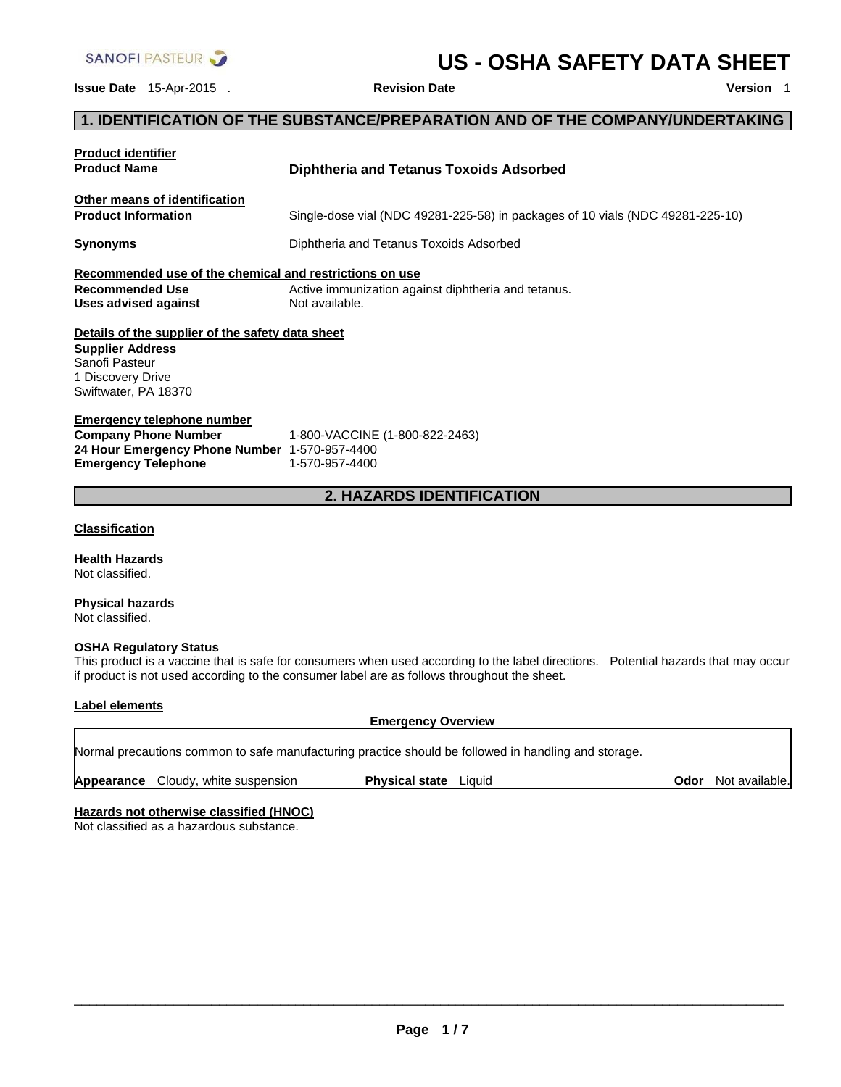

# **US - OSHA SAFETY DATA SHEET**

**Issue Date** 15-Apr-2015 . **Revision Date Version** 1

# **1. IDENTIFICATION OF THE SUBSTANCE/PREPARATION AND OF THE COMPANY/UNDERTAKING**

| <b>Product identifier</b><br><b>Product Name</b>                                           | <b>Diphtheria and Tetanus Toxoids Adsorbed</b>                                                                                                                                                                                    |  |  |  |
|--------------------------------------------------------------------------------------------|-----------------------------------------------------------------------------------------------------------------------------------------------------------------------------------------------------------------------------------|--|--|--|
| Other means of identification<br><b>Product Information</b>                                | Single-dose vial (NDC 49281-225-58) in packages of 10 vials (NDC 49281-225-10)                                                                                                                                                    |  |  |  |
| Synonyms                                                                                   | Diphtheria and Tetanus Toxoids Adsorbed                                                                                                                                                                                           |  |  |  |
| Recommended use of the chemical and restrictions on use                                    |                                                                                                                                                                                                                                   |  |  |  |
| <b>Recommended Use</b><br><b>Uses advised against</b>                                      | Active immunization against diphtheria and tetanus.<br>Not available.                                                                                                                                                             |  |  |  |
| Details of the supplier of the safety data sheet                                           |                                                                                                                                                                                                                                   |  |  |  |
| <b>Supplier Address</b><br>Sanofi Pasteur                                                  |                                                                                                                                                                                                                                   |  |  |  |
| 1 Discovery Drive<br>Swiftwater, PA 18370                                                  |                                                                                                                                                                                                                                   |  |  |  |
| <b>Emergency telephone number</b>                                                          |                                                                                                                                                                                                                                   |  |  |  |
| <b>Company Phone Number</b>                                                                | 1-800-VACCINE (1-800-822-2463)                                                                                                                                                                                                    |  |  |  |
| 24 Hour Emergency Phone Number 1-570-957-4400<br><b>Emergency Telephone</b>                | 1-570-957-4400                                                                                                                                                                                                                    |  |  |  |
|                                                                                            | <b>2. HAZARDS IDENTIFICATION</b>                                                                                                                                                                                                  |  |  |  |
|                                                                                            |                                                                                                                                                                                                                                   |  |  |  |
| <b>Classification</b>                                                                      |                                                                                                                                                                                                                                   |  |  |  |
| <b>Health Hazards</b><br>Not classified.                                                   |                                                                                                                                                                                                                                   |  |  |  |
| <b>Physical hazards</b><br>Not classified.                                                 |                                                                                                                                                                                                                                   |  |  |  |
| <b>OSHA Regulatory Status</b>                                                              | This product is a vaccine that is safe for consumers when used according to the label directions. Potential hazards that may occur<br>if product is not used according to the consumer label are as follows throughout the sheet. |  |  |  |
| <b>Label elements</b>                                                                      | <b>Emergency Overview</b>                                                                                                                                                                                                         |  |  |  |
|                                                                                            | Normal precautions common to safe manufacturing practice should be followed in handling and storage.                                                                                                                              |  |  |  |
| Cloudy, white suspension<br>Appearance                                                     | <b>Physical state</b> Liquid<br>Odor<br>Not available.                                                                                                                                                                            |  |  |  |
| <b>Hazards not otherwise classified (HNOC)</b><br>Not classified as a hazardous substance. |                                                                                                                                                                                                                                   |  |  |  |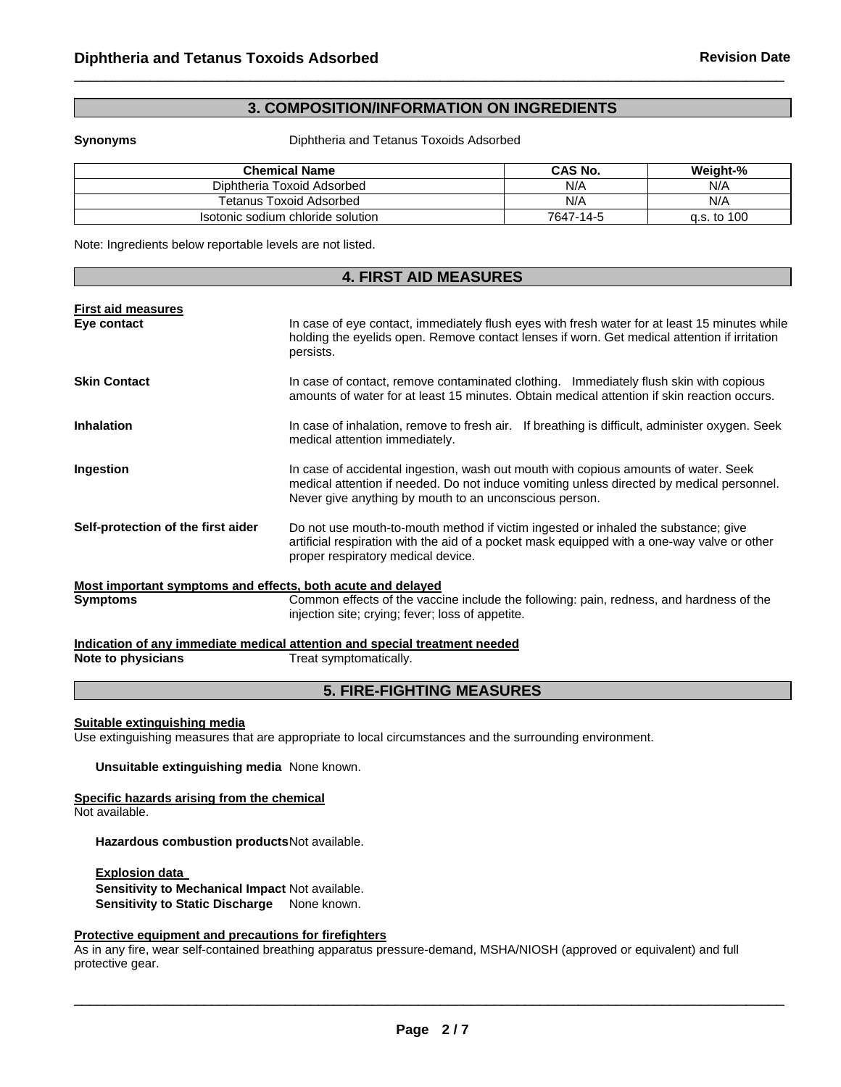# **3. COMPOSITION/INFORMATION ON INGREDIENTS**

 $\Box$ 

**Synonyms** Diphtheria and Tetanus Toxoids Adsorbed

| <b>Chemical Name</b>              | CAS No.   | Weight-%    |
|-----------------------------------|-----------|-------------|
| Diphtheria Toxoid Adsorbed        | N/A       | N/A         |
| Tetanus Toxoid Adsorbed           | N/A       | N/A         |
| Isotonic sodium chloride solution | 7647-14-5 | a.s. to 100 |

Note: Ingredients below reportable levels are not listed.

| <b>4. FIRST AID MEASURES</b>                                |                                                                                                                                                                                                                                            |  |
|-------------------------------------------------------------|--------------------------------------------------------------------------------------------------------------------------------------------------------------------------------------------------------------------------------------------|--|
|                                                             |                                                                                                                                                                                                                                            |  |
| <b>First aid measures</b><br>Eye contact                    | In case of eye contact, immediately flush eyes with fresh water for at least 15 minutes while<br>holding the eyelids open. Remove contact lenses if worn. Get medical attention if irritation<br>persists.                                 |  |
| <b>Skin Contact</b>                                         | In case of contact, remove contaminated clothing. Immediately flush skin with copious<br>amounts of water for at least 15 minutes. Obtain medical attention if skin reaction occurs.                                                       |  |
| <b>Inhalation</b>                                           | In case of inhalation, remove to fresh air. If breathing is difficult, administer oxygen. Seek<br>medical attention immediately.                                                                                                           |  |
| Ingestion                                                   | In case of accidental ingestion, wash out mouth with copious amounts of water. Seek<br>medical attention if needed. Do not induce vomiting unless directed by medical personnel.<br>Never give anything by mouth to an unconscious person. |  |
| Self-protection of the first aider                          | Do not use mouth-to-mouth method if victim ingested or inhaled the substance; give<br>artificial respiration with the aid of a pocket mask equipped with a one-way valve or other<br>proper respiratory medical device.                    |  |
| Most important symptoms and effects, both acute and delayed |                                                                                                                                                                                                                                            |  |
| <b>Symptoms</b>                                             | Common effects of the vaccine include the following: pain, redness, and hardness of the<br>injection site; crying; fever; loss of appetite.                                                                                                |  |
|                                                             | Indication of any immediate medical attention and special treatment needed                                                                                                                                                                 |  |
| Note to physicians                                          | Treat symptomatically.                                                                                                                                                                                                                     |  |
|                                                             |                                                                                                                                                                                                                                            |  |

# **5. FIRE-FIGHTING MEASURES**

#### **Suitable extinguishing media**

Use extinguishing measures that are appropriate to local circumstances and the surrounding environment.

**Unsuitable extinguishing media** None known.

# **Specific hazards arising from the chemical**

Not available.

**Hazardous combustion products** Not available.

**Explosion data Sensitivity to Mechanical Impact** Not available. **Sensitivity to Static Discharge** None known.

# **Protective equipment and precautions for firefighters**

As in any fire, wear self-contained breathing apparatus pressure-demand, MSHA/NIOSH (approved or equivalent) and full protective gear.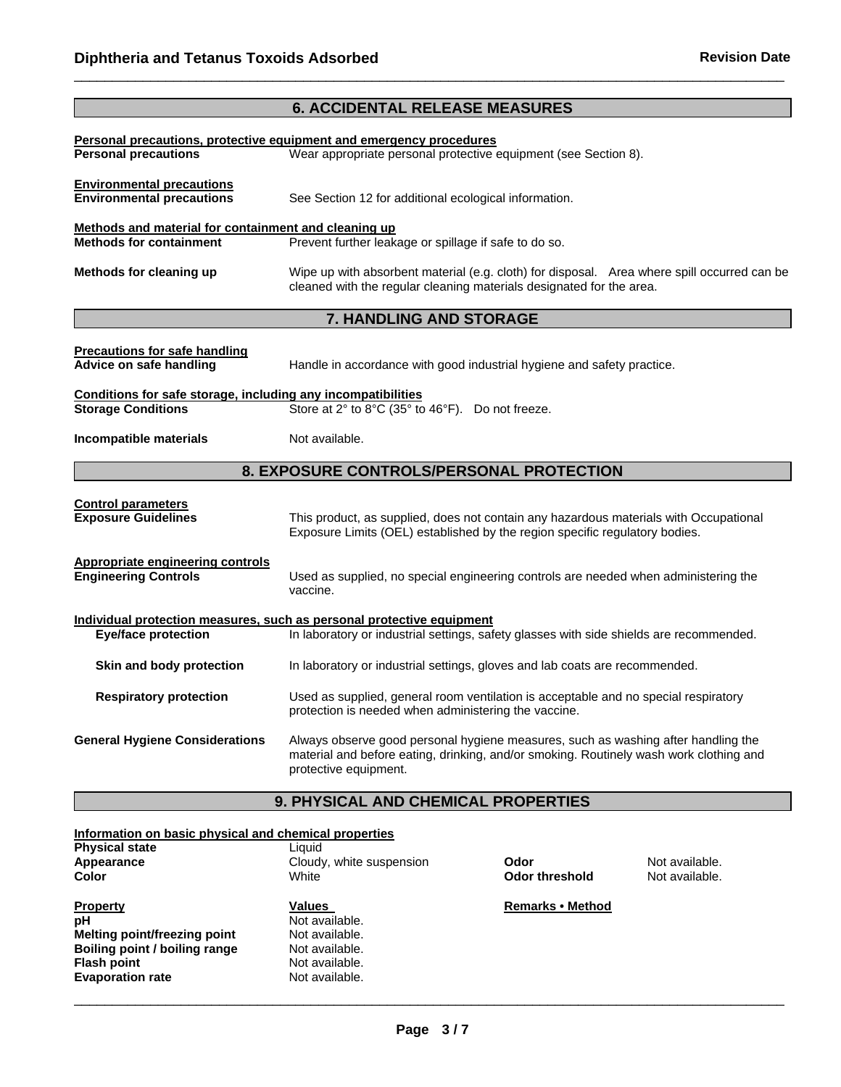|                                                                                           | <b>6. ACCIDENTAL RELEASE MEASURES</b>                                                                                                                                                                |  |  |  |
|-------------------------------------------------------------------------------------------|------------------------------------------------------------------------------------------------------------------------------------------------------------------------------------------------------|--|--|--|
|                                                                                           |                                                                                                                                                                                                      |  |  |  |
| <b>Personal precautions</b>                                                               | Personal precautions, protective equipment and emergency procedures<br>Wear appropriate personal protective equipment (see Section 8).                                                               |  |  |  |
| <b>Environmental precautions</b>                                                          |                                                                                                                                                                                                      |  |  |  |
| <b>Environmental precautions</b>                                                          | See Section 12 for additional ecological information.                                                                                                                                                |  |  |  |
| Methods and material for containment and cleaning up                                      |                                                                                                                                                                                                      |  |  |  |
| <b>Methods for containment</b>                                                            | Prevent further leakage or spillage if safe to do so.                                                                                                                                                |  |  |  |
| Methods for cleaning up                                                                   | Wipe up with absorbent material (e.g. cloth) for disposal. Area where spill occurred can be<br>cleaned with the regular cleaning materials designated for the area.                                  |  |  |  |
|                                                                                           | 7. HANDLING AND STORAGE                                                                                                                                                                              |  |  |  |
|                                                                                           |                                                                                                                                                                                                      |  |  |  |
| <b>Precautions for safe handling</b><br>Advice on safe handling                           | Handle in accordance with good industrial hygiene and safety practice.                                                                                                                               |  |  |  |
| Conditions for safe storage, including any incompatibilities<br><b>Storage Conditions</b> | Store at 2° to 8°C (35° to 46°F). Do not freeze.                                                                                                                                                     |  |  |  |
| Incompatible materials                                                                    | Not available.                                                                                                                                                                                       |  |  |  |
|                                                                                           | 8. EXPOSURE CONTROLS/PERSONAL PROTECTION                                                                                                                                                             |  |  |  |
|                                                                                           |                                                                                                                                                                                                      |  |  |  |
| <b>Control parameters</b><br><b>Exposure Guidelines</b>                                   | This product, as supplied, does not contain any hazardous materials with Occupational<br>Exposure Limits (OEL) established by the region specific regulatory bodies.                                 |  |  |  |
| <b>Appropriate engineering controls</b><br><b>Engineering Controls</b>                    | Used as supplied, no special engineering controls are needed when administering the<br>vaccine.                                                                                                      |  |  |  |
|                                                                                           | Individual protection measures, such as personal protective equipment                                                                                                                                |  |  |  |
| <b>Eye/face protection</b>                                                                | In laboratory or industrial settings, safety glasses with side shields are recommended.                                                                                                              |  |  |  |
| Skin and body protection                                                                  | In laboratory or industrial settings, gloves and lab coats are recommended.                                                                                                                          |  |  |  |
| <b>Respiratory protection</b>                                                             | Used as supplied, general room ventilation is acceptable and no special respiratory<br>protection is needed when administering the vaccine.                                                          |  |  |  |
| <b>General Hygiene Considerations</b>                                                     | Always observe good personal hygiene measures, such as washing after handling the<br>material and before eating, drinking, and/or smoking. Routinely wash work clothing and<br>protective equipment. |  |  |  |

 $\Box$ 

# **9. PHYSICAL AND CHEMICAL PROPERTIES**

## **Information on basic physical and chemical properties**

| <b>Physical state</b><br>Appearance<br>Color | Liquid<br>Cloudy, white suspension<br>White |
|----------------------------------------------|---------------------------------------------|
| <b>Property</b>                              | <b>Values</b>                               |
| pН                                           | Not available.                              |
| Melting point/freezing point                 | Not available.                              |
| Boiling point / boiling range                | Not available.                              |
| <b>Flash point</b>                           | Not available.                              |
| <b>Evaporation rate</b>                      | Not available.                              |

**Application Cloudy Codor<br>
<b>Application Cloudy** Mot available.

**Remarks • Method** 

**Color threshold**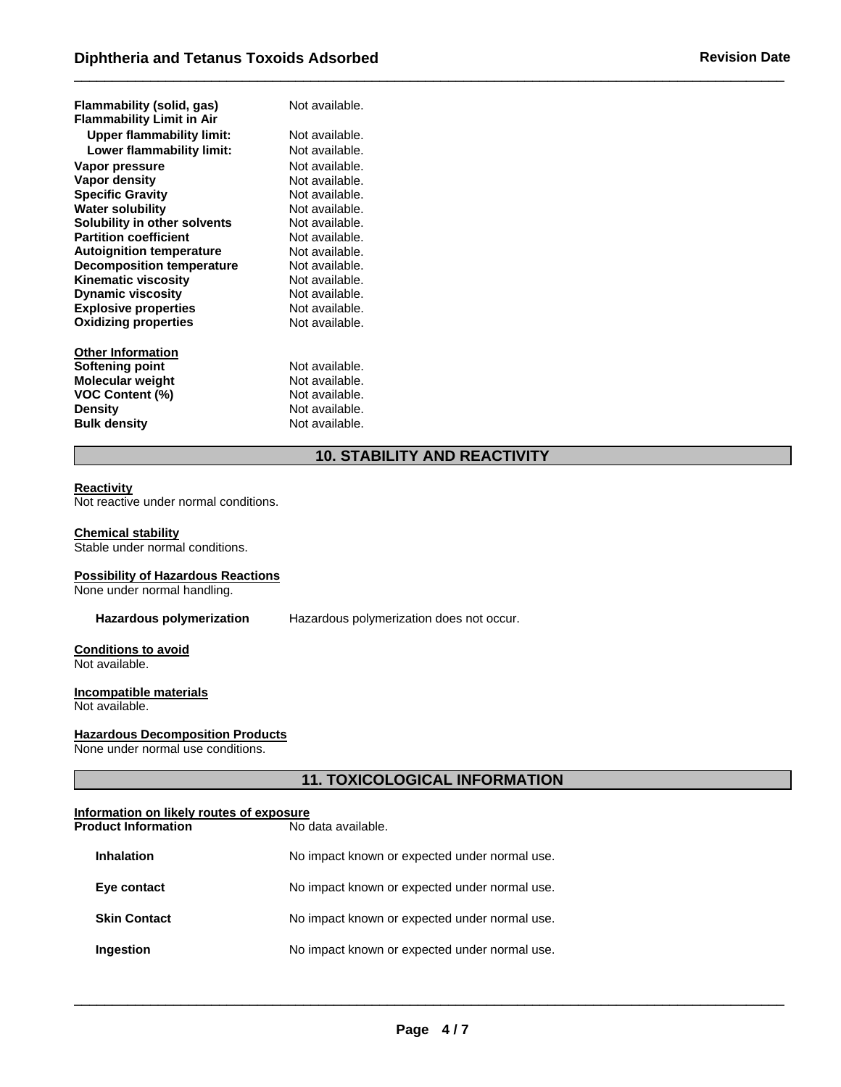| Flammability (solid, gas)<br><b>Flammability Limit in Air</b> | Not available. |
|---------------------------------------------------------------|----------------|
| <b>Upper flammability limit:</b>                              | Not available. |
| Lower flammability limit:                                     | Not available. |
| Vapor pressure                                                | Not available. |
| Vapor density                                                 | Not available. |
| <b>Specific Gravity</b>                                       | Not available. |
| <b>Water solubility</b>                                       | Not available. |
| Solubility in other solvents                                  | Not available. |
| <b>Partition coefficient</b>                                  | Not available. |
| <b>Autoignition temperature</b>                               | Not available. |
| <b>Decomposition temperature</b>                              | Not available. |
| <b>Kinematic viscosity</b>                                    | Not available. |
| <b>Dynamic viscosity</b>                                      | Not available. |
| <b>Explosive properties</b>                                   | Not available. |
| <b>Oxidizing properties</b>                                   | Not available. |
| <b>Other Information</b>                                      |                |
| Softening point                                               | Not available. |
| Molecular weight                                              | Not available. |
| VOC Content (%)                                               | Not available. |
| Density                                                       | Not available. |
| <b>Bulk density</b>                                           | Not available. |

# **10. STABILITY AND REACTIVITY**

 $\Box$ 

#### **Reactivity**

Not reactive under normal conditions.

#### **Chemical stability**

Stable under normal conditions.

#### **Possibility of Hazardous Reactions**

None under normal handling.

**Hazardous polymerization** Hazardous polymerization does not occur.

#### **Conditions to avoid**  Not available.

#### **Incompatible materials**

Not available.

#### **Hazardous Decomposition Products**

None under normal use conditions.

# **11. TOXICOLOGICAL INFORMATION**

# **Information on likely routes of exposure**

| <b>Product Information</b> | No data available.                            |
|----------------------------|-----------------------------------------------|
| <b>Inhalation</b>          | No impact known or expected under normal use. |
| Eye contact                | No impact known or expected under normal use. |
| <b>Skin Contact</b>        | No impact known or expected under normal use. |
| Ingestion                  | No impact known or expected under normal use. |
|                            |                                               |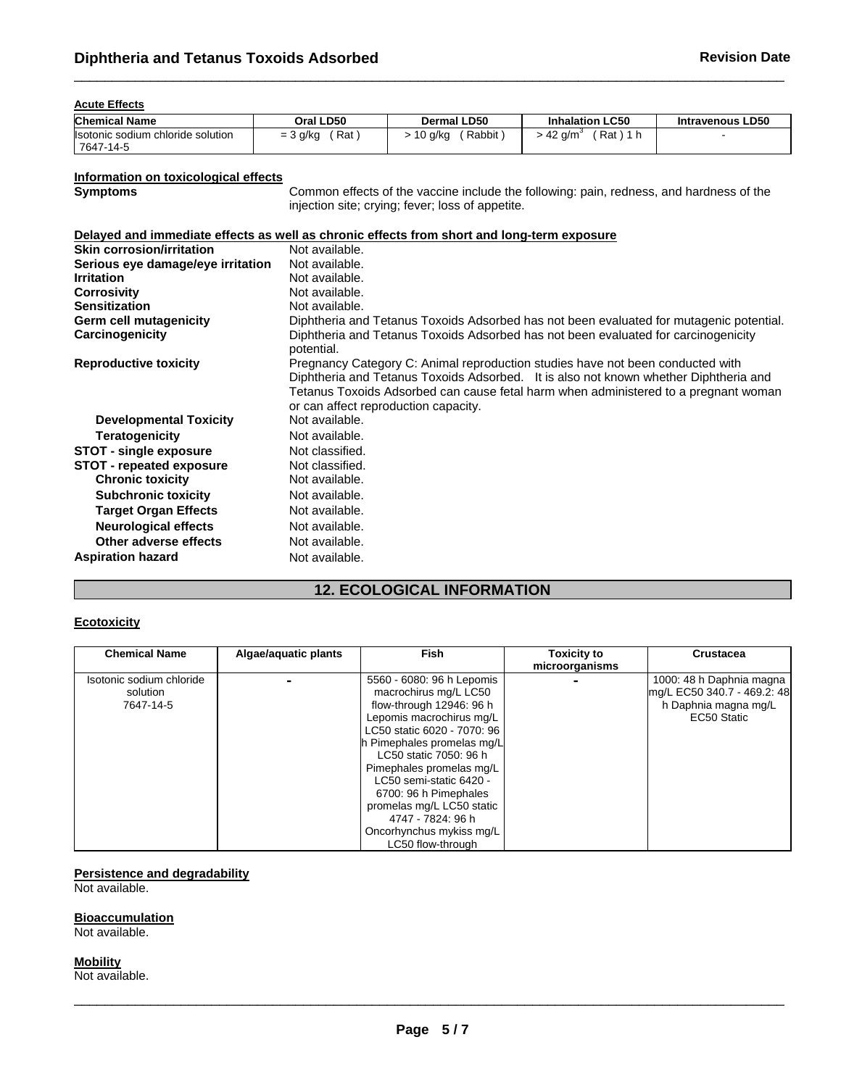#### **Acute Effects**

| <b>Chemical Name</b>                            | Oral LD50                | <b>Dermal LD50</b> | <b>Inhalation LC50</b> | <b>Intravenous LD50</b> |
|-------------------------------------------------|--------------------------|--------------------|------------------------|-------------------------|
| Ilsotonic sodium chloride solution<br>7647-14-5 | Rat<br>: 3 g/kg<br>$= 3$ | Rabbit<br>ı0 g/kg  | Rat<br>$-42$ q/m       |                         |

 $\Box$ 

# **Information on toxicological effects**

Common effects of the vaccine include the following: pain, redness, and hardness of the injection site; crying; fever; loss of appetite.

#### **Delayed and immediate effects as well as chronic effects from short and long-term exposure**

| <b>Skin corrosion/irritation</b>  | Not available.                                                                                                                                                                                                                                                                                        |
|-----------------------------------|-------------------------------------------------------------------------------------------------------------------------------------------------------------------------------------------------------------------------------------------------------------------------------------------------------|
| Serious eye damage/eye irritation | Not available.                                                                                                                                                                                                                                                                                        |
| <b>Irritation</b>                 | Not available.                                                                                                                                                                                                                                                                                        |
| <b>Corrosivity</b>                | Not available.                                                                                                                                                                                                                                                                                        |
| <b>Sensitization</b>              | Not available.                                                                                                                                                                                                                                                                                        |
| Germ cell mutagenicity            | Diphtheria and Tetanus Toxoids Adsorbed has not been evaluated for mutagenic potential.                                                                                                                                                                                                               |
| Carcinogenicity                   | Diphtheria and Tetanus Toxoids Adsorbed has not been evaluated for carcinogenicity<br>potential.                                                                                                                                                                                                      |
| <b>Reproductive toxicity</b>      | Pregnancy Category C: Animal reproduction studies have not been conducted with<br>Diphtheria and Tetanus Toxoids Adsorbed. It is also not known whether Diphtheria and<br>Tetanus Toxoids Adsorbed can cause fetal harm when administered to a pregnant woman<br>or can affect reproduction capacity. |
| <b>Developmental Toxicity</b>     | Not available.                                                                                                                                                                                                                                                                                        |
| <b>Teratogenicity</b>             | Not available.                                                                                                                                                                                                                                                                                        |
| <b>STOT - single exposure</b>     | Not classified.                                                                                                                                                                                                                                                                                       |
| <b>STOT - repeated exposure</b>   | Not classified.                                                                                                                                                                                                                                                                                       |
| <b>Chronic toxicity</b>           | Not available.                                                                                                                                                                                                                                                                                        |
| <b>Subchronic toxicity</b>        | Not available.                                                                                                                                                                                                                                                                                        |
| <b>Target Organ Effects</b>       | Not available.                                                                                                                                                                                                                                                                                        |
| <b>Neurological effects</b>       | Not available.                                                                                                                                                                                                                                                                                        |
| Other adverse effects             | Not available.                                                                                                                                                                                                                                                                                        |
| <b>Aspiration hazard</b>          | Not available.                                                                                                                                                                                                                                                                                        |

# **12. ECOLOGICAL INFORMATION**

#### **Ecotoxicity**

| <b>Chemical Name</b>     | Algae/aquatic plants | <b>Fish</b>                 | <b>Toxicity to</b> | Crustacea                   |
|--------------------------|----------------------|-----------------------------|--------------------|-----------------------------|
|                          |                      |                             | microorganisms     |                             |
| Isotonic sodium chloride |                      | 5560 - 6080: 96 h Lepomis   |                    | 1000: 48 h Daphnia magna    |
| solution                 |                      | macrochirus mg/L LC50       |                    | mg/L EC50 340.7 - 469.2: 48 |
| 7647-14-5                |                      | flow-through 12946: 96 h    |                    | h Daphnia magna mg/L        |
|                          |                      | Lepomis macrochirus mg/L    |                    | EC50 Static                 |
|                          |                      | LC50 static 6020 - 7070: 96 |                    |                             |
|                          |                      | h Pimephales promelas mg/L  |                    |                             |
|                          |                      | LC50 static 7050: 96 h      |                    |                             |
|                          |                      | Pimephales promelas mg/L    |                    |                             |
|                          |                      | LC50 semi-static 6420 -     |                    |                             |
|                          |                      | 6700: 96 h Pimephales       |                    |                             |
|                          |                      | promelas mg/L LC50 static   |                    |                             |
|                          |                      | 4747 - 7824: 96 h           |                    |                             |
|                          |                      | Oncorhynchus mykiss mg/L    |                    |                             |
|                          |                      | LC50 flow-through           |                    |                             |

#### **Persistence and degradability**

Not available.

#### **Bioaccumulation**

Not available.

**Mobility** 

Not available.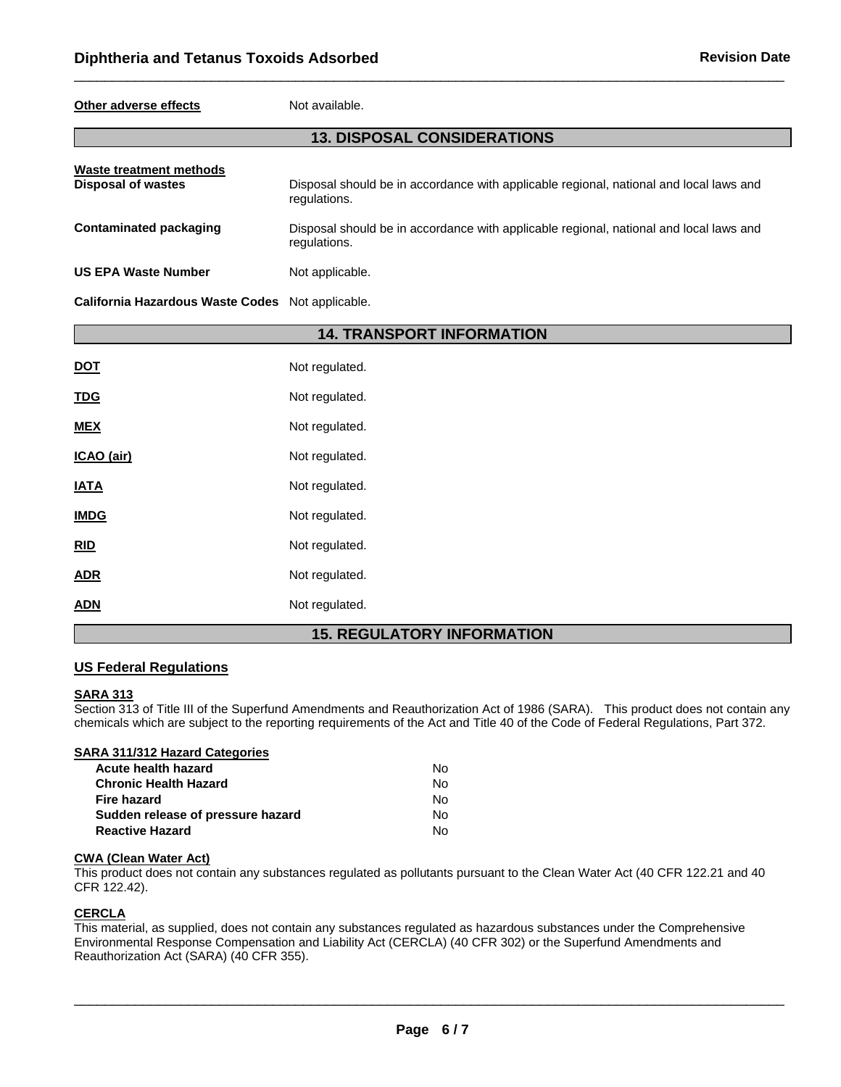#### **Other adverse effects** Not available.

## **13. DISPOSAL CONSIDERATIONS**

 $\Box$ 

| Waste treatment methods<br><b>Disposal of wastes</b> | Disposal should be in accordance with applicable regional, national and local laws and<br>regulations. |
|------------------------------------------------------|--------------------------------------------------------------------------------------------------------|
| Contaminated packaging                               | Disposal should be in accordance with applicable regional, national and local laws and<br>regulations. |
| <b>US EPA Waste Number</b>                           | Not applicable.                                                                                        |
| California Hazardous Waste Codes Not applicable.     |                                                                                                        |

|             | <b>14. TRANSPORT INFORMATION</b>    |
|-------------|-------------------------------------|
| <u>DOT</u>  | Not regulated.                      |
| <b>TDG</b>  | Not regulated.                      |
| <b>MEX</b>  | Not regulated.                      |
| ICAO (air)  | Not regulated.                      |
| <b>IATA</b> | Not regulated.                      |
| <b>IMDG</b> | Not regulated.                      |
| RID         | Not regulated.                      |
| <b>ADR</b>  | Not regulated.                      |
| <b>ADN</b>  | Not regulated.                      |
|             | <b>REGULATORY INFORMATION</b><br>15 |

# **FORMATION**

### **US Federal Regulations**

#### **SARA 313**

Section 313 of Title III of the Superfund Amendments and Reauthorization Act of 1986 (SARA). This product does not contain any chemicals which are subject to the reporting requirements of the Act and Title 40 of the Code of Federal Regulations, Part 372.

| SARA 311/312 Hazard Categories |     |
|--------------------------------|-----|
| <b>Acute health hazard</b>     | No. |
| <b>Chronic Health Hazard</b>   | No. |
| Eive hemeral                   |     |

| .   |
|-----|
| No. |
| No. |
| No. |
|     |

# **CWA (Clean Water Act)**

This product does not contain any substances regulated as pollutants pursuant to the Clean Water Act (40 CFR 122.21 and 40 CFR 122.42).

### **CERCLA**

This material, as supplied, does not contain any substances regulated as hazardous substances under the Comprehensive Environmental Response Compensation and Liability Act (CERCLA) (40 CFR 302) or the Superfund Amendments and Reauthorization Act (SARA) (40 CFR 355).